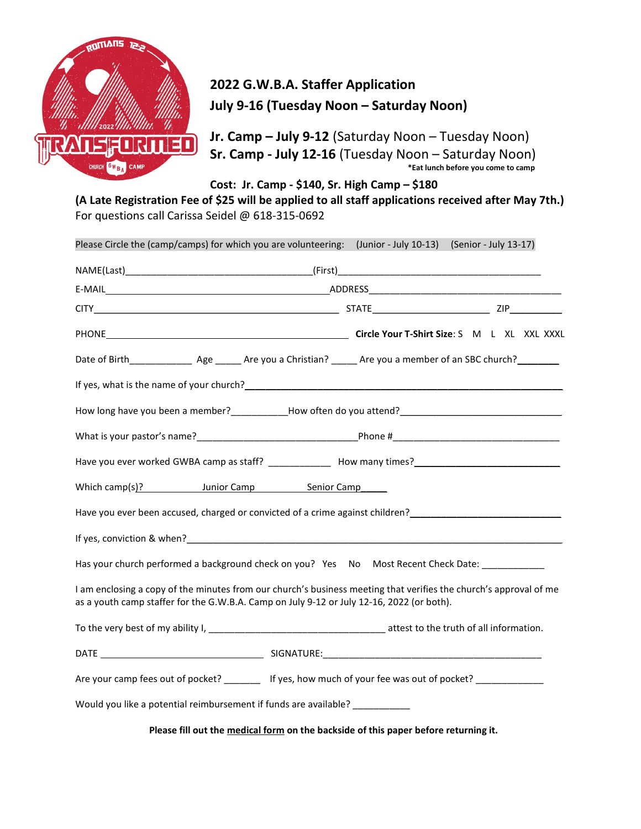

## 2022 G.W.B.A. Staffer Application July 9-16 (Tuesday Noon – Saturday Noon)

Jr. Camp – July 9-12 (Saturday Noon – Tuesday Noon) Sr. Camp - July 12-16 (Tuesday Noon – Saturday Noon) \*Eat lunch before you come to camp

Cost: Jr. Camp - \$140, Sr. High Camp – \$180

(A Late Registration Fee of \$25 will be applied to all staff applications received after May 7th.) For questions call Carissa Seidel @ 618-315-0692

| Please Circle the (camp/camps) for which you are volunteering: (Junior - July 10-13) (Senior - July 13-17)                                                                                                                    |
|-------------------------------------------------------------------------------------------------------------------------------------------------------------------------------------------------------------------------------|
|                                                                                                                                                                                                                               |
|                                                                                                                                                                                                                               |
|                                                                                                                                                                                                                               |
|                                                                                                                                                                                                                               |
|                                                                                                                                                                                                                               |
|                                                                                                                                                                                                                               |
| How long have you been a member?___________How often do you attend?_________________________________                                                                                                                          |
|                                                                                                                                                                                                                               |
| Have you ever worked GWBA camp as staff? ______________ How many times?_____________________________                                                                                                                          |
| Which camp(s)? Junior Camp Senior Camp                                                                                                                                                                                        |
| Have you ever been accused, charged or convicted of a crime against children?<br>                                                                                                                                             |
| If yes, conviction & when? The state of the state of the state of the state of the state of the state of the state of the state of the state of the state of the state of the state of the state of the state of the state of |
| Has your church performed a background check on you? Yes No Most Recent Check Date: __________                                                                                                                                |
| I am enclosing a copy of the minutes from our church's business meeting that verifies the church's approval of me<br>as a youth camp staffer for the G.W.B.A. Camp on July 9-12 or July 12-16, 2022 (or both).                |
|                                                                                                                                                                                                                               |
|                                                                                                                                                                                                                               |
| Are your camp fees out of pocket? ________ If yes, how much of your fee was out of pocket? _____________                                                                                                                      |
| Would you like a potential reimbursement if funds are available? _____________                                                                                                                                                |

Please fill out the medical form on the backside of this paper before returning it.